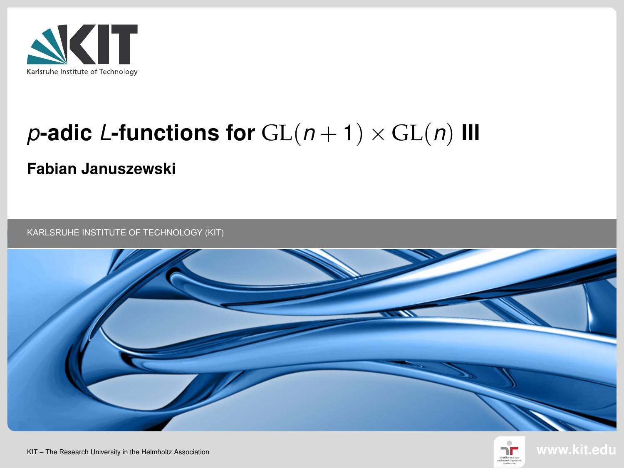

# p-adic L-functions for  $GL(n + 1) \times GL(n)$  III

#### Fabian Januszewski

KARLSRUHE INSTITUTE OF TECHNOLOGY (KIT)





KIT – The Research University in the Helmholtz Association www.kit.edu.com/www.kit.edu.com/www.kit.edu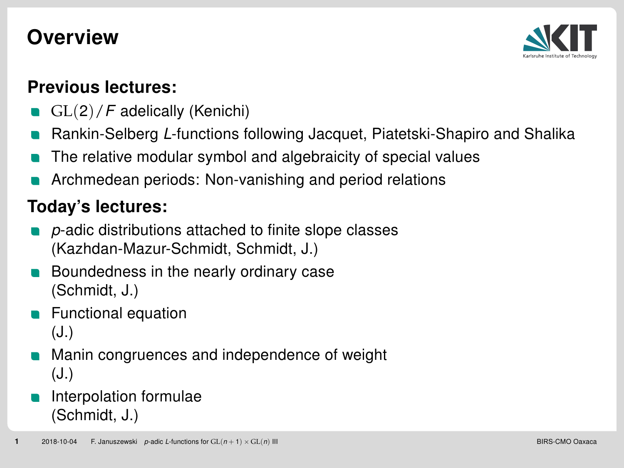#### **Overview**



#### Previous lectures:

- GL(2)/F adelically (Kenichi)
- Rankin-Selberg L-functions following Jacquet, Piatetski-Shapiro and Shalika
- The relative modular symbol and algebraicity of special values
- Archmedean periods: Non-vanishing and period relations

#### Today's lectures:

- p-adic distributions attached to finite slope classes (Kazhdan-Mazur-Schmidt, Schmidt, J.)
- Boundedness in the nearly ordinary case (Schmidt, J.)
- Functional equation

(J.)

Manin congruences and independence of weight (J.)

#### Interpolation formulae (Schmidt, J.)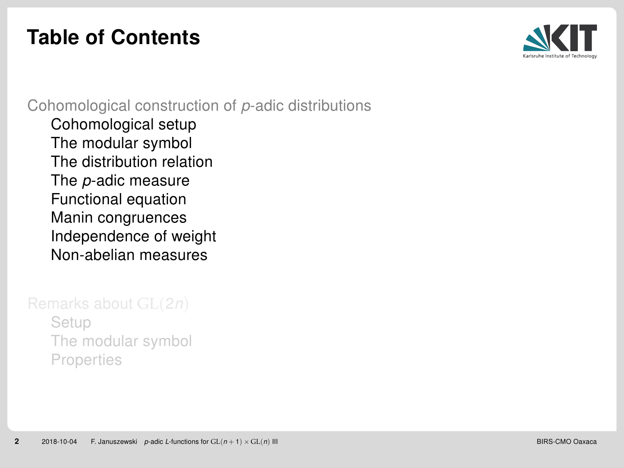## <span id="page-2-0"></span>Table of Contents



[Cohomological construction of](#page-2-0) p-adic distributions

[Cohomological setup](#page-3-0) [The modular symbol](#page-6-0) [The distribution relation](#page-9-0) The p[-adic measure](#page-11-0) [Functional equation](#page-12-0) [Manin congruences](#page-13-0) [Independence of weight](#page-16-0) [Non-abelian measures](#page-17-0)

[Setup](#page-19-0) [The modular symbol](#page-21-0) [Properties](#page-22-0)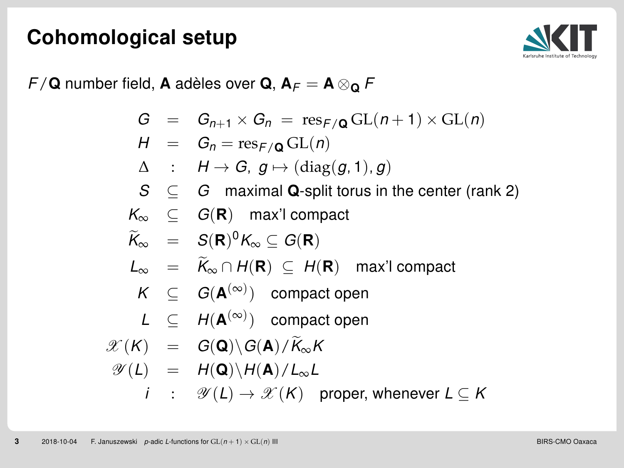#### <span id="page-3-0"></span>Cohomological setup



 $F/\mathbf{Q}$  number field, A adèles over  $\mathbf{Q}, \mathbf{A}_F = \mathbf{A} \otimes_{\mathbf{Q}} F$ 

$$
G = G_{n+1} \times G_n = \text{res}_{F/\mathbf{Q}} \operatorname{GL}(n+1) \times \operatorname{GL}(n)
$$

$$
H = G_n = \operatorname{res}_{F/\mathbf{Q}} \operatorname{GL}(n)
$$

$$
\Delta : H \to G, g \mapsto (diag(g, 1), g)
$$

 $S \subseteq G$  maximal Q-split torus in the center (rank 2)

$$
K_{\infty} \subseteq G(\mathbf{R}) \quad \text{max'l compact}
$$

$$
\widetilde{K}_{\infty} = S(\mathbf{R})^0 K_{\infty} \subseteq G(\mathbf{R})
$$

$$
L_{\infty} = \widetilde{K}_{\infty} \cap H(\mathbf{R}) \subseteq H(\mathbf{R}) \quad \text{max}' \text{ compact}
$$

$$
K \ \subseteq \ G(\mathbf{A}^{(\infty)}) \ \text{ compact open}
$$

$$
L \subseteq H(\mathbf{A}^{(\infty)}) \text{ compact open}
$$

$$
\mathscr{X}(K) = G(\mathbf{Q}) \backslash G(\mathbf{A}) / \widetilde{K}_{\infty} K
$$

$$
\mathscr{Y}(L) \quad = \quad H(\mathbf{Q}) \backslash H(\mathbf{A}) / L_{\infty} L
$$

$$
i : \mathscr{Y}(L) \to \mathscr{X}(K) \quad \text{proper, whenever } L \subseteq K
$$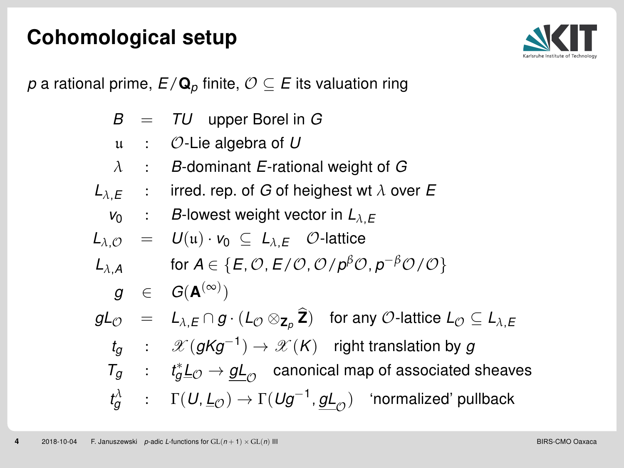#### Cohomological setup



p a rational prime,  $E/\mathbf{Q}_p$  finite,  $\mathcal{O} \subseteq E$  its valuation ring

|  | $B = TU$ upper Borel in G                                                                                                                                                                |
|--|------------------------------------------------------------------------------------------------------------------------------------------------------------------------------------------|
|  | $\mu$ : $\mathcal{O}$ -Lie algebra of U                                                                                                                                                  |
|  | $\lambda$ : B-dominant E-rational weight of G                                                                                                                                            |
|  | $L_{\lambda,E}$ : irred. rep. of G of heighest wt $\lambda$ over E                                                                                                                       |
|  | $v_0$ : B-lowest weight vector in $L_{\lambda,E}$                                                                                                                                        |
|  | $L_{\lambda,\mathcal{O}} = U(\mathfrak{u}) \cdot v_0 \subseteq L_{\lambda,E}$ $\mathcal{O}$ -lattice                                                                                     |
|  | $L_{\lambda,A}$ for $A \in \{E, \mathcal{O}, E/\mathcal{O}, \mathcal{O}/p^{\beta}\mathcal{O}, p^{-\beta}\mathcal{O}/\mathcal{O}\}\$                                                      |
|  | $g \in G(\mathbf{A}^{(\infty)})$                                                                                                                                                         |
|  | $gl_{\mathcal{O}} = L_{\lambda,E} \cap g \cdot (L_{\mathcal{O}} \otimes_{\mathbf{Z}_{p}} \widehat{\mathbf{Z}})$ for any $\mathcal{O}$ -lattice $L_{\mathcal{O}} \subseteq L_{\lambda,E}$ |
|  | $t_q$ : $\mathscr{X}(gKg^{-1}) \to \mathscr{X}(K)$ right translation by g                                                                                                                |
|  | $T_g$ : $t_g^* \underline{L}_\mathcal{O} \to g \underline{L}_\mathcal{O}$ canonical map of associated sheaves                                                                            |
|  | $t^\lambda_g$ : $\Gamma(U,\underline{L}_{\mathcal{O}}) \to \Gamma(Ug^{-1},gL_{\mathcal{O}})$ 'normalized' pullback                                                                       |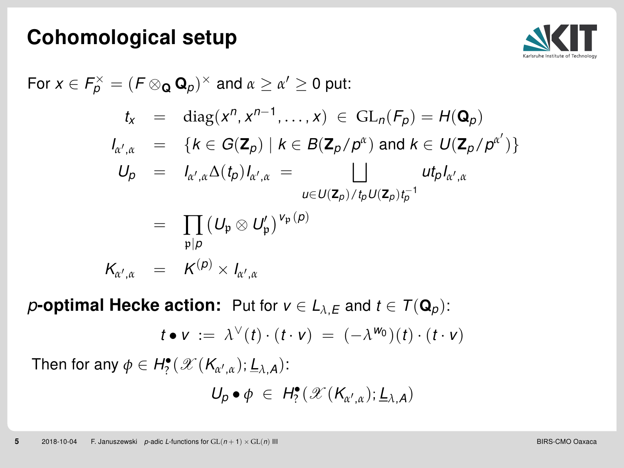#### Cohomological setup



For 
$$
x \in F_p^\times = (F \otimes_{\mathbf{Q}} \mathbf{Q}_p)^\times
$$
 and  $\alpha \ge \alpha' \ge 0$  put:  
\n
$$
t_x = \text{diag}(x^n, x^{n-1}, \dots, x) \in \text{GL}_n(F_p) = H(\mathbf{Q}_p)
$$
\n
$$
I_{\alpha', \alpha} = \{k \in G(\mathbf{Z}_p) \mid k \in B(\mathbf{Z}_p/p^\alpha) \text{ and } k \in U(\mathbf{Z}_p/p^{\alpha'})\}
$$
\n
$$
U_p = I_{\alpha', \alpha} \Delta(t_p) I_{\alpha', \alpha} = \bigsqcup_{u \in U(\mathbf{Z}_p)/t_p U(\mathbf{Z}_p) t_p^{-1}} u t_p I_{\alpha', \alpha}
$$
\n
$$
= \prod_{p \mid p} (U_p \otimes U_p')^{V_p(p)}
$$
\n
$$
K_{\alpha', \alpha} = K^{(p)} \times I_{\alpha', \alpha}
$$

**p-optimal Hecke action:** Put for  $v \in L_{\lambda,E}$  and  $t \in \mathcal{T}(\mathbf{Q}_p)$ :

$$
t \bullet v := \lambda^{\vee}(t) \cdot (t \cdot v) = (-\lambda^{w_0})(t) \cdot (t \cdot v)
$$

Then for any  $\phi \in H_?^{\bullet}(\mathscr{X}(K_{\alpha',\alpha});\underline{L}_{\lambda,A})$ :

$$
U_p \bullet \phi \ \in \ H^{\bullet}_{?}(\mathscr{X}(K_{\alpha',\alpha});\underline{L}_{\lambda,A})
$$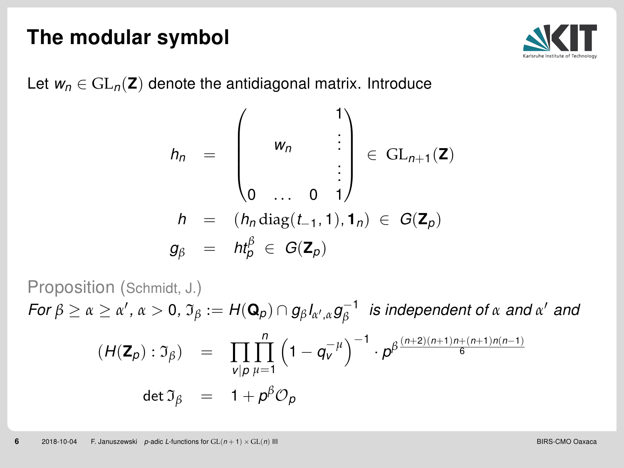

<span id="page-6-0"></span>Let  $w_n \in GL_n(\mathbb{Z})$  denote the antidiagonal matrix. Introduce

$$
h_n = \begin{pmatrix} & & & 1 \\ & w_n & & \vdots \\ & & & \vdots \\ 0 & \dots & 0 & 1 \end{pmatrix} \in GL_{n+1}(\mathbf{Z})
$$

$$
h = (h_n \operatorname{diag}(t_{-1}, 1), 1_n) \in G(\mathbf{Z}_p)
$$

$$
g_\beta = h t_\beta^\beta \in G(\mathbf{Z}_p)
$$

Proposition (Schmidt, J.)  $\textit{For } \beta \geq \alpha \geq \alpha', \, \alpha > 0, \, \mathfrak{I}_{\beta} := H(\mathbf{Q}_{\rho}) \cap g_{\beta} \hspace{0.5mm} I_{\alpha', \alpha} g_{\beta}^{-1} \; \; \textit{is independent of } \alpha \; \textit{and} \; \alpha' \; \textit{and}$  $(H(\mathbf{Z}_p): \mathfrak{I}_\beta) = \prod_{v | p}$  $\prod_{\mu=1}^n$  $\left(1-q_v^{-\mu}\right)^{-1}\cdot\rho^{\beta\frac{(n+2)(n+1)n+(n+1)n(n-1)}{6}}$ det  $\mathfrak{I}_{\beta}$  =  $1 + p^{\beta} \mathcal{O}_{\beta}$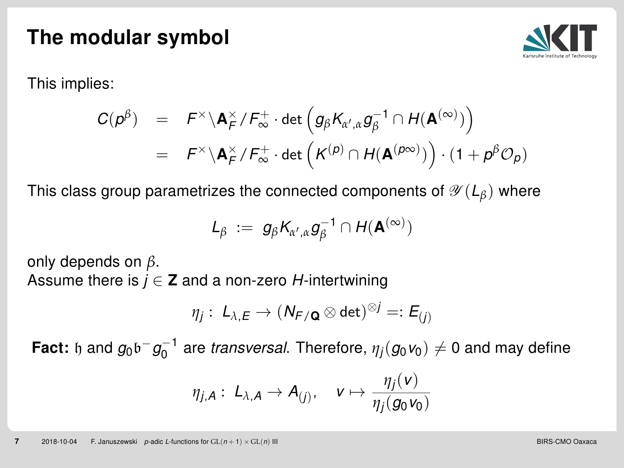

This implies:

$$
\begin{array}{lcl} C(\rho^{\beta}) & = & \displaystyle F^{\times} \backslash {\bf A}_{F}^{\times} / F_{\infty}^{+} \cdot \det \Big( g_{\beta} K_{\alpha', \alpha} g_{\beta}^{-1} \cap H({\bf A}^{(\infty)}) \Big) \\ \\ & = & \displaystyle F^{\times} \backslash {\bf A}_{F}^{\times} / F_{\infty}^{+} \cdot \det \Big( K^{(\rho)} \cap H({\bf A}^{(\rho \infty)}) \Big) \cdot (1 + \rho^{\beta} {\mathcal O}_{\rho}) \end{array}
$$

This class group parametrizes the connected components of  $\mathscr{Y}(L_{\beta})$  where

$$
L_{\beta} := g_{\beta} K_{\alpha',\alpha} g_{\beta}^{-1} \cap H(\mathbf{A}^{(\infty)})
$$

only depends on *β*.

Assume there is  $j \in \mathbb{Z}$  and a non-zero H-intertwining

$$
\eta_j:\; L_{\lambda,E}\to (N_{F/\mathbf{Q}}\otimes\det)^{\otimes j}=:E_{(j)}
$$

Fact:  ${\mathfrak h}$  and  $g_0{\mathfrak b}^-g_0^{-1}$  are *transversal*. Therefore,  $\eta_j(g_0\mathsf v_0)\neq 0$  and may define

$$
\eta_{j,A}: L_{\lambda,A} \to A_{(j)}, \quad v \mapsto \frac{\eta_j(v)}{\eta_j(g_0v_0)}
$$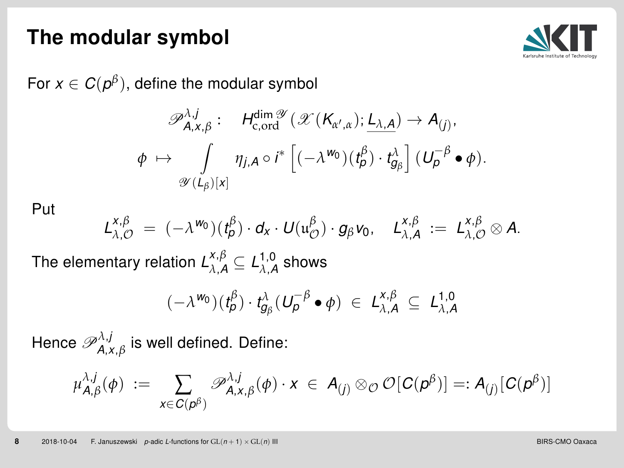

For  $x\in C(\rho^{\beta}),$  define the modular symbol

$$
\mathscr{P}_{A,X,\beta}^{\lambda,j} : H_{c, \text{ord}}^{\dim \mathscr{Y}}(\mathscr{X}(K_{\alpha',\alpha}); \underline{L_{\lambda,A}}) \to A_{(j)},
$$
  

$$
\phi \mapsto \int_{\mathscr{Y}(L_{\beta})[x]} \eta_{j,A} \circ i^* \left[ (-\lambda^{w_0})(t_{\beta}^{\beta}) \cdot t_{g_{\beta}}^{\lambda} \right] (U_{\beta}^{-\beta} \bullet \phi).
$$

Put

$$
L_{\lambda,\mathcal{O}}^{X,\beta} = (-\lambda^{w_0})(t_{\rho}^{\beta}) \cdot d_X \cdot U(u_{\mathcal{O}}^{\beta}) \cdot g_{\beta} v_0, \quad L_{\lambda,A}^{X,\beta} := L_{\lambda,\mathcal{O}}^{X,\beta} \otimes A.
$$

The elementary relation  $\mathcal{L}_{\lambda,\mathcal{A}}^{x,\beta}\subseteq \mathcal{L}_{\lambda,\mathcal{A}}^{1,0}$  shows

$$
(-\lambda^{\mathsf{w}_0})(t^{\beta}_{\rho})\cdot t^{\lambda}_{g_{\beta}}(\mathsf{U}_{\rho}^{-\beta}\bullet\phi) \in \mathsf{L}^{x,\beta}_{\lambda,A}\subseteq \mathsf{L}^{1,0}_{\lambda,A}
$$

Hence  $\mathscr{P}_{A,\mathsf{x},\beta}^{\lambda,j}$  is well defined. Define:

$$
\mu_{\mathsf{A},\beta}^{\lambda,j}(\phi) \; := \; \sum_{\mathsf{x}\in\mathsf{C}(\mathsf{p}^\beta)}\mathscr{P}_{\mathsf{A},\mathsf{x},\beta}^{\lambda,j}(\phi)\cdot \mathsf{x} \;\in\; \mathsf{A}_{(j)}\otimes_\mathcal{O} \mathcal{O}[\mathsf{C}(\mathsf{p}^\beta)] =: \mathsf{A}_{(j)}[\mathsf{C}(\mathsf{p}^\beta)]
$$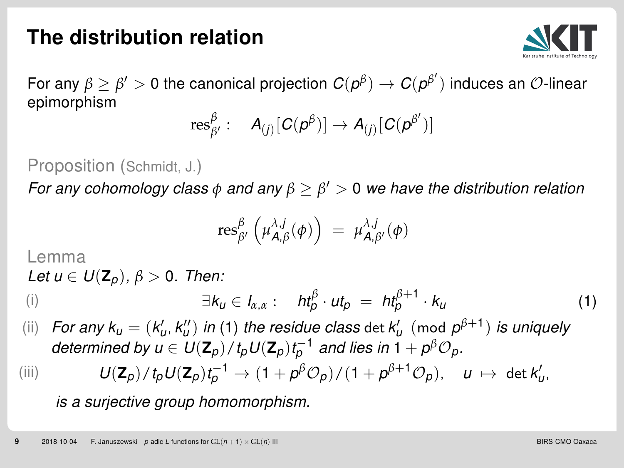## <span id="page-9-0"></span>The distribution relation



For any  $\beta\geq\beta'>0$  the canonical projection  $C(\rho^\beta)\to C(\rho^{\beta'})$  induces an  ${\cal O}$ -linear epimorphism

$$
\text{res}^\beta_{\beta'}: A_{(j)}[C(p^\beta)] \to A_{(j)}[C(p^{\beta'})]
$$

Proposition (Schmidt, J.)

For any cohomology class *φ* and any *β* ≥ *β* <sup>0</sup> > 0 we have the distribution relation

<span id="page-9-1"></span>
$$
\operatorname{res}^\beta_{\beta'}\left(\mu^{\lambda,j}_{A,\beta}(\phi)\right) \;=\; \mu^{\lambda,j}_{A,\beta'}(\phi)
$$

#### Lemma

Let  $u \in U(\mathbf{Z}_{p}), \beta > 0$ . Then:

(i) 
$$
\exists k_{\nu} \in I_{\alpha,\alpha} : \quad h t_{\rho}^{\beta} \cdot u t_{\rho} = h t_{\rho}^{\beta+1} \cdot k_{\nu}
$$
 (1)

(ii) For any  $k_u = (k'_u, k''_u)$  in [\(1\)](#page-9-1) the residue class det  $k'_u$  (mod  $p^{\beta+1}$ ) is uniquely determined by  $u\in U({\mathbf{Z}}_p)/\mathit{t}_pU({\mathbf{Z}}_p)\mathit{t}_p^{-1}$  and lies in 1  $+$   $\rho^{\beta}{\mathcal{O}}_p.$ 

$$
(\mathrm{iii}) \qquad U(\mathbf{Z}_p)/t_p U(\mathbf{Z}_p) t_p^{-1} \to (1+p^\beta \mathcal{O}_p)/(1+p^{\beta+1} \mathcal{O}_p), \quad u \mapsto \det k'_u,
$$

is a surjective group homomorphism.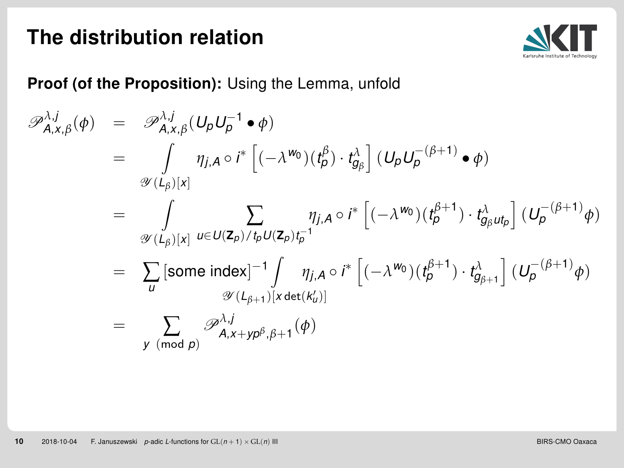#### The distribution relation



#### Proof (of the Proposition): Using the Lemma, unfold

$$
\mathscr{P}_{A,x,\beta}^{\lambda,j}(\phi) = \mathscr{P}_{A,x,\beta}^{\lambda,j}(U_{p}U_{p}^{-1} \bullet \phi)
$$
\n
$$
= \int_{\mathscr{Y}(L_{\beta})[x]} \eta_{j,A} \circ i^{*} \left[ (-\lambda^{w_{0}})(t_{p}^{\beta}) \cdot t_{g_{\beta}}^{\lambda} \right] (U_{p}U_{p}^{-(\beta+1)} \bullet \phi)
$$
\n
$$
= \int_{\mathscr{Y}(L_{\beta})[x]} \sum_{u \in U(\mathbb{Z}_{p})/t_{p}U(\mathbb{Z}_{p})t_{p}^{-1}} \eta_{j,A} \circ i^{*} \left[ (-\lambda^{w_{0}})(t_{p}^{\beta+1}) \cdot t_{g_{\beta}u_{p}}^{\lambda} \right] (U_{p}^{-(\beta+1)}\phi)
$$
\n
$$
= \sum_{u} [\text{some index}]^{-1} \int_{\mathscr{Y}(L_{\beta+1})[x \det(k_{u}^{\prime})]} \eta_{j,A} \circ i^{*} \left[ (-\lambda^{w_{0}})(t_{p}^{\beta+1}) \cdot t_{g_{\beta+1}}^{\lambda} \right] (U_{p}^{-(\beta+1)}\phi)
$$
\n
$$
= \sum_{v \pmod{p}} \mathscr{P}_{A,x+yp^{\beta},\beta+1}^{\lambda,j}(\phi)
$$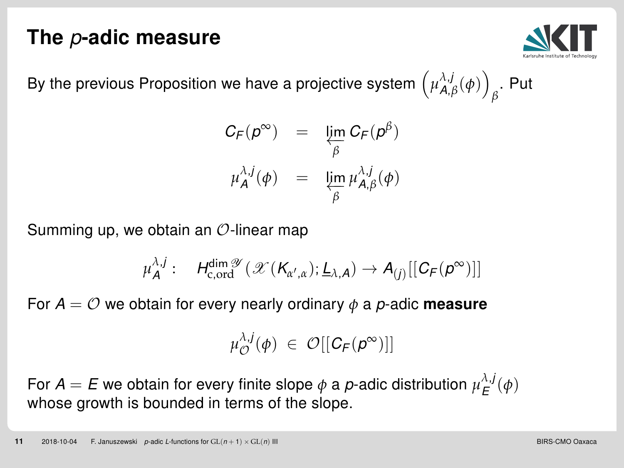#### <span id="page-11-0"></span>The p-adic measure



By the previous Proposition we have a projective system  $\left(\mu^{\lambda,j}_{\mathsf{A},\beta}(\phi)\right)$ *β* . Put

$$
C_F(p^{\infty}) = \lim_{\beta} C_F(p^{\beta})
$$
  

$$
\mu_A^{\lambda,j}(\phi) = \lim_{\beta} \mu_{A,\beta}^{\lambda,j}(\phi)
$$

Summing up, we obtain an  $\mathcal{O}$ -linear map

$$
\mu_A^{\lambda,j}:\quad H_{c,\text{ord}}^{\dim\mathscr{Y}}(\mathscr{X}(K_{\alpha',\alpha});\underline{L}_{\lambda,A})\to A_{(j)}[[C_F(\mathbf{p}^{\infty})]]
$$

For  $A = \mathcal{O}$  we obtain for every nearly ordinary  $\phi$  a p-adic **measure** 

$$
\mu_{\mathcal{O}}^{\lambda,j}(\phi) \in \mathcal{O}[[C_{\mathsf{F}}(p^{\infty})]]
$$

For  $A = E$  we obtain for every finite slope  $\phi$  a p-adic distribution  $\mu_E^{\lambda,j}(\phi)$ whose growth is bounded in terms of the slope.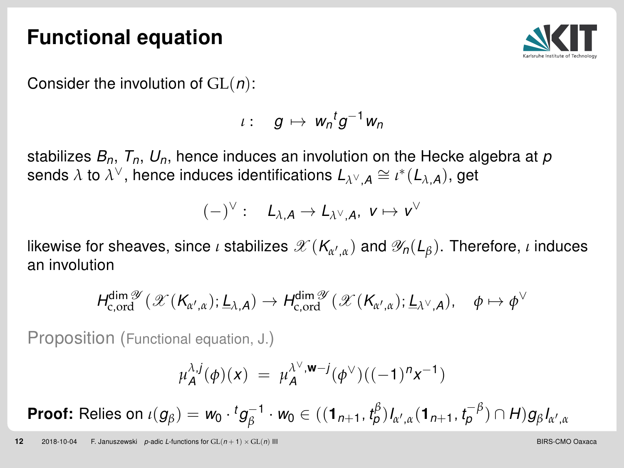#### <span id="page-12-0"></span>Functional equation



Consider the involution of  $GL(n)$ :

$$
\iota: g\mapsto w_n{}^t g^{-1}w_n
$$

stabilizes  $B_n$ ,  $T_n$ ,  $U_n$ , hence induces an involution on the Hecke algebra at p sends  $\lambda$  to  $\lambda^\vee$ , hence induces identifications  $L_{\lambda^\vee,A}\cong \iota^*(L_{\lambda,A}),$  get

$$
(-)^{\vee}:\quad L_{\lambda,A}\to L_{\lambda^{\vee},A},\ \nu\mapsto\nu^{\vee}
$$

likewise for sheaves, since *ι* stabilizes  $\mathscr{X}(K_{\alpha',\alpha})$  and  $\mathscr{Y}_n(L_{\beta}).$  Therefore, *ι* induces an involution

$$
H_{\mathrm{c,ord}}^{\dim \mathscr{Y}}(\mathscr{X}(K_{\alpha',\alpha});\underline{L}_{\lambda,A}) \to H_{\mathrm{c,ord}}^{\dim \mathscr{Y}}(\mathscr{X}(K_{\alpha',\alpha});\underline{L}_{\lambda^\vee,A}), \quad \phi \mapsto \phi^\vee
$$

Proposition (Functional equation, J.)

$$
\mu_A^{\lambda,j}(\phi)(x) = \mu_A^{\lambda^{\vee}, \mathbf{w}-j}(\phi^{\vee})((-1)^n x^{-1})
$$

 $\mathsf{Proof}\colon \mathsf{Relies} \text{ on } \iota(g_\beta) = \mathsf{w}_0 \cdot {}^t g_\beta^{-1} \cdot \mathsf{w}_0 \in ((\mathbf{1}_{n+1},\mathit{t}_\rho^{\beta})_{a',\alpha} (\mathbf{1}_{n+1},\mathit{t}_\rho^{-\beta}) \cap \mathsf{H}) g_\beta I_{a',\alpha}$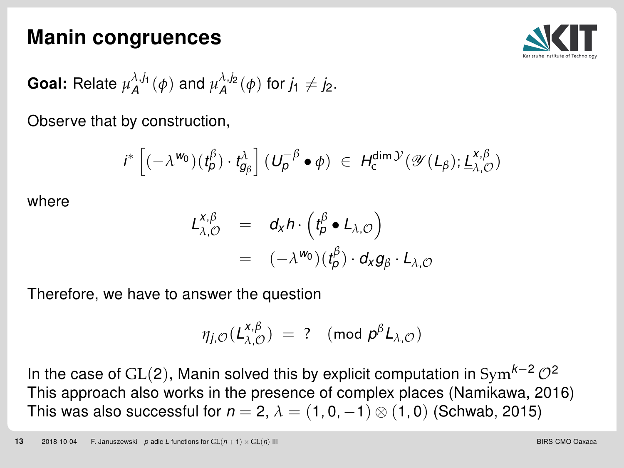#### <span id="page-13-0"></span>Manin congruences



**Goal:** Relate 
$$
\mu_A^{\lambda,j_1}(\phi)
$$
 and  $\mu_A^{\lambda,j_2}(\phi)$  for  $j_1 \neq j_2$ .

Observe that by construction,

$$
i^* \left[ (-\lambda^{\mathbf{W_0}})(t_{\beta}^{\beta}) \cdot t_{g_{\beta}}^{\lambda} \right] (U_{\rho}^{-\beta} \bullet \phi) \in H_c^{\dim \mathcal{Y}}(\mathscr{Y}(L_{\beta}); \underline{L}_{\lambda, \mathcal{O}}^{\mathbf{x}, \beta})
$$

where

$$
L_{\lambda,\mathcal{O}}^{\mathbf{X},\beta} = d_{\mathbf{X}} h \cdot (t_{\rho}^{\beta} \bullet L_{\lambda,\mathcal{O}})
$$
  
=  $(-\lambda^{w_0})(t_{\rho}^{\beta}) \cdot d_{\mathbf{X}} g_{\beta} \cdot L_{\lambda,\mathcal{O}}$ 

Therefore, we have to answer the question

$$
\eta_{j,\mathcal{O}}(L_{\lambda,\mathcal{O}}^{x,\beta}) = ? \pmod{p^{\beta}L_{\lambda,\mathcal{O}}}
$$

In the case of GL(2), Manin solved this by explicit computation in Sym<sup>k-2</sup>  $\mathcal{O}^2$ This approach also works in the presence of complex places (Namikawa, 2016) This was also successful for  $n = 2$ ,  $\lambda = (1, 0, -1) \otimes (1, 0)$  (Schwab, 2015)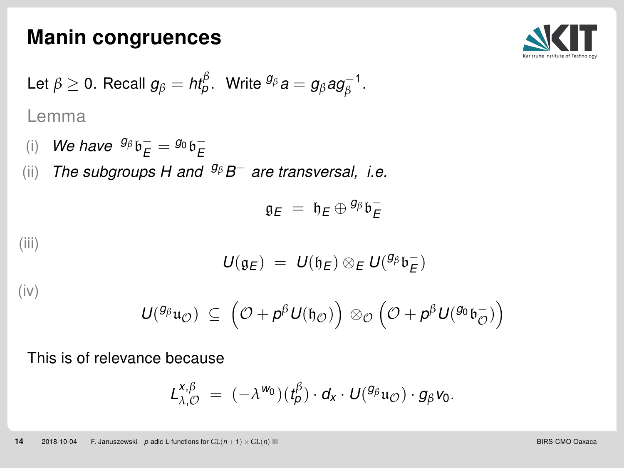#### Manin congruences



Let 
$$
\beta \ge 0
$$
. Recall  $g_{\beta} = ht_{\beta}^{\beta}$ . Write  ${}^{g_{\beta}}a = g_{\beta}ag_{\beta}^{-1}$ .  
Lemma

(i) We have  ${}^{g_\beta}b^-_E = {}^{g_0}b^-_E$ 

(ii) The subgroups H and <sup>g<sub>β</sub>B<sup>-</sup> are transversal, i.e.</sup>

$$
\mathfrak{g}_E\;=\;\mathfrak{h}_E\oplus{}^{g_\beta}\mathfrak{b}_E^-
$$

(iii)

$$
U(\mathfrak{g}_E)~=~U(\mathfrak{h}_E)\otimes_E U({}^{g_\beta}\mathfrak{b}_E^-)
$$

(iv)

$$
\displaystyle U^{(g_{\beta}}\mathfrak{u}_{\mathcal{O}}) \ \subseteq \ \left(\mathcal{O} + \mathsf{p}^{\beta} \,U(\mathfrak{h}_{\mathcal{O}})\right) \,\otimes_{\mathcal{O}} \Big(\mathcal{O} + \mathsf{p}^{\beta} \,U({}^{g_{0}}\mathfrak{b}_{\mathcal{O}}^{-})\Big)
$$

This is of relevance because

$$
L_{\lambda,\mathcal{O}}^{x,\beta} = (-\lambda^{w_0})(t_{\beta}^{\beta}) \cdot d_x \cdot U({}^{g_{\beta}}u_{\mathcal{O}}) \cdot g_{\beta}v_0.
$$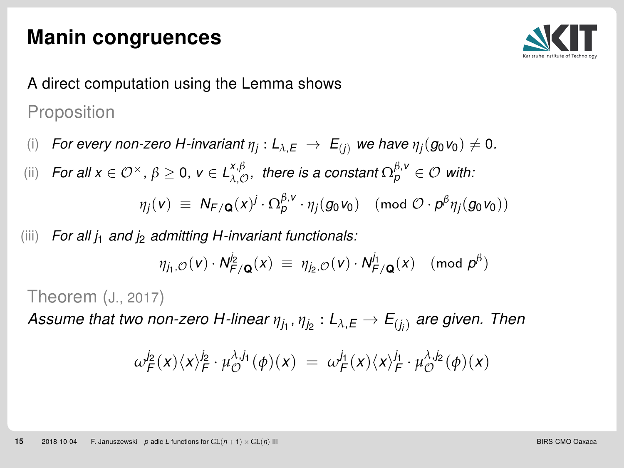#### Manin congruences



## A direct computation using the Lemma shows Proposition

(i) For every non-zero H-invariant  $\eta_j: L_{\lambda,E} \ \to \ E_{(j)}$  we have  $\eta_j(g_0 \nu_0) \neq 0.$ 

(ii) For all  $x \in \mathcal{O}^{\times}$ ,  $\beta \geq 0$ ,  $v \in L_{\lambda,\mathcal{O}}^{\times,\beta}$ , there is a constant  $\Omega_{p}^{\beta,v} \in \mathcal{O}$  with:

 $\eta_j(\nu) \ \equiv \ \mathcal{N}_{\mathsf{F}/\mathbf{Q}}(x)^j \cdot \Omega^{\beta, \nu}_{\rho} \cdot \eta_j(g_0\nu_0) \pmod{\mathcal{O} \cdot p^{\beta} \eta_j(g_0\nu_0)}$ 

(iii) For all  $j_1$  and  $j_2$  admitting H-invariant functionals:

$$
\eta_{j_1,\mathcal{O}}(v) \cdot N_{F/\mathbf{Q}}^{j_2}(x) \equiv \eta_{j_2,\mathcal{O}}(v) \cdot N_{F/\mathbf{Q}}^{j_1}(x) \pmod{p^{\beta}}
$$

Theorem (J., 2017)

Assume that two non-zero H-linear  $\eta_{j_1}, \eta_{j_2} : L_{\lambda,E} \to E_{(j_i)}$  are given. Then

$$
\omega_{F}^{j_2}(x)\langle x\rangle_{F}^{j_2}\cdot \mu_{\mathcal{O}}^{\lambda,j_1}(\phi)(x) \; = \; \omega_{F}^{j_1}(x)\langle x\rangle_{F}^{j_1}\cdot \mu_{\mathcal{O}}^{\lambda,j_2}(\phi)(x)
$$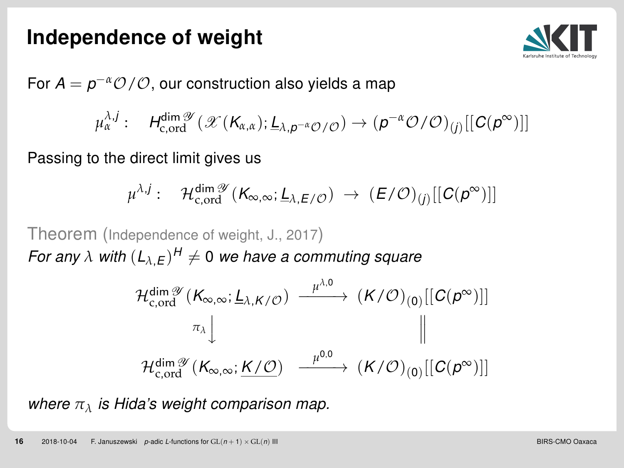#### <span id="page-16-0"></span>Independence of weight



For  $A = p^{-\alpha} \mathcal{O}/\mathcal{O}$ , our construction also yields a map

$$
\mu_{\alpha}^{\lambda,j}:\quad H_{\mathrm{c},\mathrm{ord}}^{\dim\mathscr{Y}}(\mathscr{X}(K_{\alpha,\alpha});\underline{L}_{\lambda,\boldsymbol{\rho}^{-\alpha}\mathcal{O}/\mathcal{O}})\rightarrow (\boldsymbol{\rho}^{-\alpha}\mathcal{O}/\mathcal{O})_{(j)}[[\mathcal{C}(\boldsymbol{\rho}^{\infty})]]
$$

Passing to the direct limit gives us

$$
\mu^{\lambda,j}:\quad \mathcal{H}^{\dim \mathscr{Y}}_{c,\mathrm{ord}}(K_{\infty,\infty};\underline{L}_{\lambda,E/\mathcal{O}})\;\to\; (E/\mathcal{O})_{(j)}[[C(p^\infty)]]
$$

Theorem (Independence of weight, J., 2017) For any  $\lambda$  with  $(L_{\lambda,E})^H \neq 0$  we have a commuting square

$$
\mathcal{H}^{\dim \mathscr{Y}}_{c, \text{ord}}(K_{\infty, \infty}; \underline{L}_{\lambda, K/\mathcal{O}}) \xrightarrow{\mu^{\lambda, 0}} (K/\mathcal{O})_{(0)}[[C(p^{\infty})]]
$$
\n
$$
\pi_{\lambda} \downarrow \qquad \qquad \parallel
$$
\n
$$
\mathcal{H}^{\dim \mathscr{Y}}_{c, \text{ord}}(K_{\infty, \infty}; \underline{K/\mathcal{O}}) \xrightarrow{\mu^{0, 0}} (K/\mathcal{O})_{(0)}[[C(p^{\infty})]]
$$

where *π<sup>λ</sup>* is Hida's weight comparison map.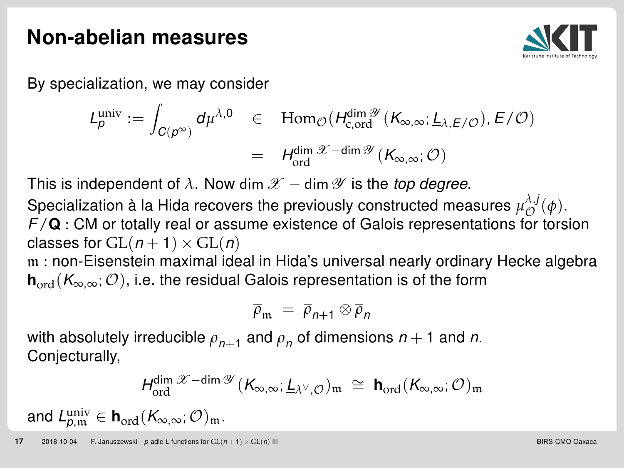#### <span id="page-17-0"></span>Non-abelian measures



By specialization, we may consider

$$
L_p^{\text{univ}} := \int_{C(p^{\infty})} d\mu^{\lambda,0} \quad \in \quad \text{Hom}_{\mathcal{O}}(H_{c,\text{ord}}^{\text{dim}\mathcal{Y}}(K_{\infty,\infty};\underline{L}_{\lambda,E/\mathcal{O}}), E/\mathcal{O})
$$

$$
= H_{\text{ord}}^{\text{dim}\mathcal{X}-\text{dim}\mathcal{Y}}(K_{\infty,\infty};\mathcal{O})
$$

This is independent of  $\lambda$ . Now dim  $\mathscr{X}$  – dim  $\mathscr{Y}$  is the top degree.

Specialization à la Hida recovers the previously constructed measures  $\mu_{\mathcal{O}}^{\lambda,j}(\phi)$ .  $F/\mathbf{Q}$  : CM or totally real or assume existence of Galois representations for torsion classes for  $GL(n+1) \times GL(n)$ 

m : non-Eisenstein maximal ideal in Hida's universal nearly ordinary Hecke algebra  $h_{\text{ord}}(K_{\infty,\infty};\mathcal{O})$ , i.e. the residual Galois representation is of the form

$$
\overline{\rho}_{\mathfrak{m}} = \overline{\rho}_{n+1} \otimes \overline{\rho}_n
$$

with absolutely irreducible  $\overline{\rho}_{n+1}$  and  $\overline{\rho}_n$  of dimensions  $n+1$  and  $n$ . Conjecturally,

$$
\textit{H}^{\dim \mathscr{X} - \dim \mathscr{Y}}_{\mathrm{ord}}(K_{\infty,\infty};\underline{\textbf{L}}_{\lambda^\vee,\mathcal{O}})_{\mathfrak{m}}\;\cong\; \textbf{h}_{\mathrm{ord}}(K_{\infty,\infty};\mathcal{O})_{\mathfrak{m}}
$$

and  $L_{p,\mathfrak{m}}^{\text{univ}}\in\mathbf{h}_{\text{ord}}(\mathcal{K}_{\infty,\infty};\mathcal{O})_{\mathfrak{m}}.$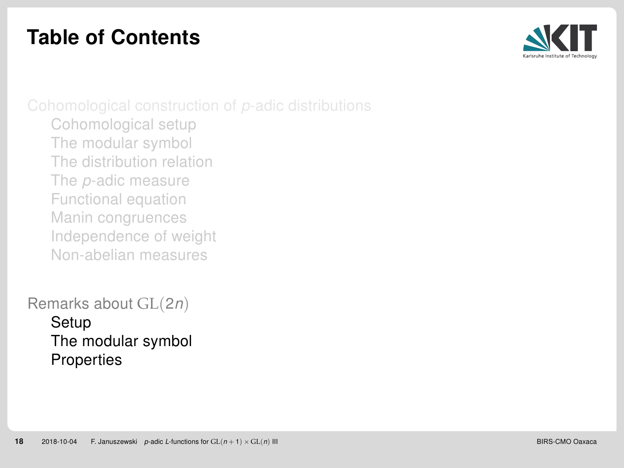## <span id="page-18-0"></span>Table of Contents



[Cohomological setup](#page-3-0) [The modular symbol](#page-6-0) [The distribution relation](#page-9-0) The p[-adic measure](#page-11-0) [Functional equation](#page-12-0) [Manin congruences](#page-13-0) [Independence of weight](#page-16-0) [Non-abelian measures](#page-17-0)

[Remarks about](#page-18-0) GL(2n) [Setup](#page-19-0) [The modular symbol](#page-21-0) **[Properties](#page-22-0)**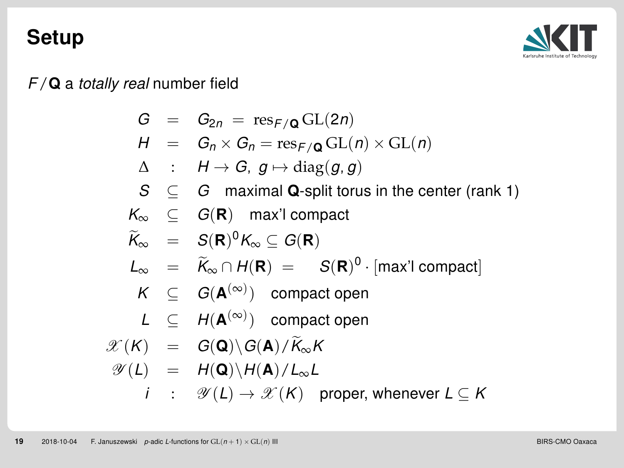#### <span id="page-19-0"></span>Setup



 $F/Q$  a totally real number field

$$
G = G_{2n} = \text{res}_{F/\mathbf{Q}} GL(2n)
$$
  
\n
$$
H = G_n \times G_n = \text{res}_{F/\mathbf{Q}} GL(n) \times GL(n)
$$
  
\n
$$
\Delta : H \rightarrow G, g \mapsto \text{diag}(g, g)
$$
  
\n
$$
S \subseteq G \text{ maximal } \mathbf{Q}\text{-split torus in the center (rank 1)}
$$
  
\n
$$
K_{\infty} \subseteq G(\mathbf{R}) \text{ max}' \text{ compact}
$$
  
\n
$$
\widetilde{K}_{\infty} = S(\mathbf{R})^0 K_{\infty} \subseteq G(\mathbf{R})
$$
  
\n
$$
L_{\infty} = \widetilde{K}_{\infty} \cap H(\mathbf{R}) = S(\mathbf{R})^0 \cdot [\max' \text{ compact}]
$$
  
\n
$$
K \subseteq G(\mathbf{A}^{(\infty)}) \text{ compact open}
$$
  
\n
$$
L \subseteq H(\mathbf{A}^{(\infty)}) \text{ compact open}
$$
  
\n
$$
\mathscr{X}(K) = G(\mathbf{Q}) \setminus G(\mathbf{A}) / \widetilde{K}_{\infty} K
$$
  
\n
$$
\mathscr{Y}(L) = H(\mathbf{Q}) \setminus H(\mathbf{A}) / L_{\infty} L
$$
  
\n
$$
i : \mathscr{Y}(L) \rightarrow \mathscr{X}(K) \text{ proper, whenever } L \subseteq K
$$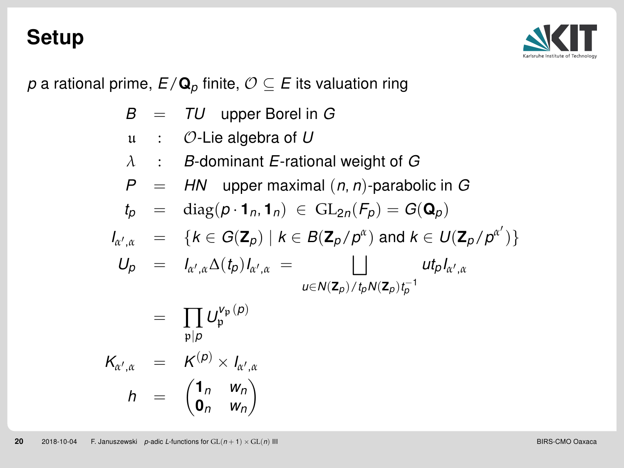#### Setup



p a rational prime,  $E/\mathbf{Q}_p$  finite,  $\mathcal{O} \subseteq E$  its valuation ring

$$
B = TU \text{ upper Borel in } G
$$
\n
$$
u : \mathcal{O}\text{-Lie algebra of } U
$$
\n
$$
\lambda : B\text{-dominant } E\text{-rational weight of } G
$$
\n
$$
P = H\text{N upper maximal } (n, n)\text{-parabolic in } G
$$
\n
$$
t_p = \text{diag}(p \cdot 1_n, 1_n) \in \text{GL}_{2n}(F_p) = G(\mathbf{Q}_p)
$$
\n
$$
I_{\alpha',\alpha} = \{k \in G(\mathbf{Z}_p) \mid k \in B(\mathbf{Z}_p/p^{\alpha}) \text{ and } k \in U(\mathbf{Z}_p/p^{\alpha'})\}
$$
\n
$$
U_p = I_{\alpha',\alpha} \Delta(t_p) I_{\alpha',\alpha} = \bigcup_{u \in N(\mathbf{Z}_p)/t_p N(\mathbf{Z}_p) t_p^{-1}} u t_p I_{\alpha',\alpha}
$$
\n
$$
= \prod_{p \mid p} U_p^{\nu_p(p)}
$$
\n
$$
K_{\alpha',\alpha} = K^{(p)} \times I_{\alpha',\alpha}
$$

$$
h = \begin{pmatrix} 1_n & w_n \\ 0_n & w_n \end{pmatrix}
$$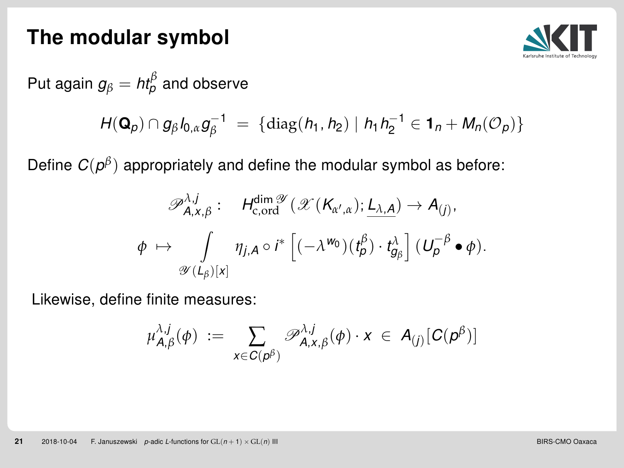

<span id="page-21-0"></span>Put again  $g_\beta = \mathit{ht}^\beta_\rho$  and observe

$$
H(\mathbf{Q}_p) \cap g_{\beta} l_{0,\alpha} g_{\beta}^{-1} = \{ \text{diag}(h_1, h_2) \mid h_1 h_2^{-1} \in \mathbf{1}_n + M_n(\mathcal{O}_p) \}
$$

Define  $C(\rho^\beta)$  appropriately and define the modular symbol as before:

$$
\mathscr{P}_{A,x,\beta}^{\lambda,j} : H_{c, \text{ord}}^{\dim \mathscr{Y}} (\mathscr{X}(K_{\alpha',\alpha}); \underline{L_{\lambda,A}}) \to A_{(j)},
$$
  

$$
\phi \mapsto \int_{\mathscr{Y}(L_{\beta})[x]} \eta_{j,A} \circ i^* \left[ (-\lambda^{w_0})(t_{\beta}^{\beta}) \cdot t_{g_{\beta}}^{\lambda} \right] (U_{\beta}^{-\beta} \bullet \phi).
$$

Likewise, define finite measures:

$$
\mu_{A,\beta}^{\lambda,j}(\phi) \; := \; \sum_{x \in C(p^\beta)} \mathscr{P}_{A,x,\beta}^{\lambda,j}(\phi) \cdot x \; \in \; A_{(j)}[C(p^\beta)]
$$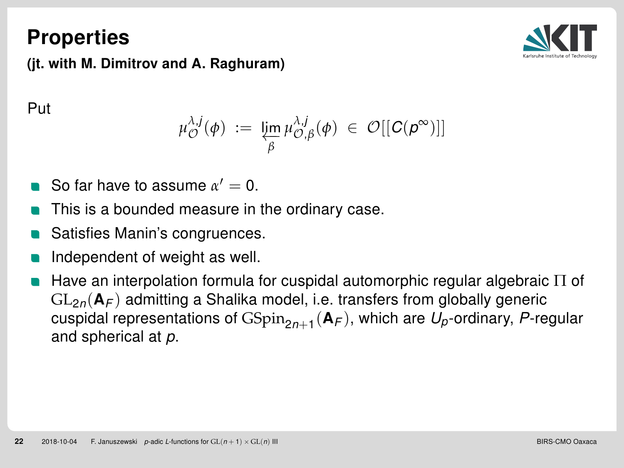#### <span id="page-22-0"></span>**Properties**



(jt. with M. Dimitrov and A. Raghuram)

Put

$$
\mu_{\mathcal{O}}^{\lambda,j}(\phi) \; := \; \varprojlim_{\beta} \mu_{\mathcal{O},\beta}^{\lambda,j}(\phi) \; \in \; \mathcal{O}[[C(\rho^{\infty})]]
$$

- So far have to assume  $\alpha' = 0$ .
- This is a bounded measure in the ordinary case.
- Satisfies Manin's congruences.
- Independent of weight as well.
- Have an interpolation formula for cuspidal automorphic regular algebraic Π of  $GL_{2n}(\mathbf{A}_F)$  admitting a Shalika model, i.e. transfers from globally generic cuspidal representations of  $\mathrm{GSpin}_{2n+1}(\mathsf{A}_\mathcal{F}),$  which are  $\mathcal{U}_\rho$ -ordinary,  $\mathcal{P}$ -regular and spherical at p.